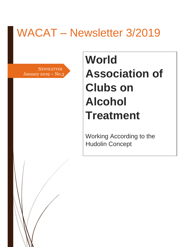# WACAT – Newsletter 3/2019

**NEWSLETTER** January 2019 – No.3 2 2

# **World Association of Clubs on Alcohol Treatment**

Working According to the Hudolin Concept

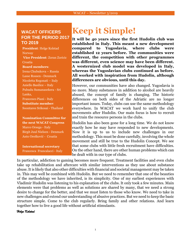#### **WACAT OFFICERS FOR THE PERIOD 2017 TO 2019**

**President**: Helge Kolstad **Norway Vice President**: Zoran Zoricic Croatia **Board members**: Irena Chubukova – Russia Lasse Rossen - Denmark Nicoletta Regonati – Italy Aniello Basilice – Italy Pubudu Sumanasekera - Sri Lanka, Francesco Piani - Italy **Substitute member**: Soontaree Srikosai - Thailand

**Nomination Committee for the next WACAT Congress**  Marco Orsega - Italy Birgit Juul Nielsen - Denmark Anto Orešković - Croatia

**International secretary** Francesca Francalacci - Italy

## **Keep it Simple!**

**It will be 40 years since the first Hudolin club was established in Italy. This meant a new development compared to Yugoslavia, where clubs were established 12 years before. The communities were different, the competition with other programmes was different, even science may have been different. A westernized club model was developed in Italy, whereas the Yugoslavian clubs continued as before. All worked with inspiration from Hudolin, although differences are obvious, until this day.** 

However, our communities have also changed. Yugoslavia is no more. Many substances in addition to alcohol are heavily abused, the concept of family is changing. The historic differences on both sides of the Adriatic are no longer important issues. Today, clubs can use the same methodology everywhere. In WACAT we work hard to unify the club movements after Hudolin. Our main focus is how to recruit and train the resource persons in the clubs.

Hudolin has also been gone for a long time. We do not know exactly how he may have responded to new developments. Now it is up to us to include new challenges in our methodology. This must be done carefully, involving the whole movement and still be true to the Hudolin Concept. We see that some clubs with little fresh recruitment have difficulties. On the other hand, there are other human problems which can be dealt with in our type of clubs.

In particular, addiction to gaming becomes more frequent. Treatment facilities and even clubs take up rehabilitation and aftercare with similar interventions as they use about substance abuse. It is likely that also other difficulties with financial and societal management may be taken in. This may well be combined with Hudolin. But we need to remember that one of the beauties of the methodology we have inherited, is its simplicity. One of my earliest experiences with Vladimir Hudolin was listening to his explanation of the clubs. It only took a few minutes. Main elements were that problems as well as solutions are shared by many, that we need a strong desire to change for the better, and that we must listen to those who know. We need to take in new challenges and extend our understanding of abusive practices. But we need to keep the basic structure simple. Come to the club regularly. Bring family and other relations. And learn together how to live a good life without artificial stimulants.

*Helge Kolstad*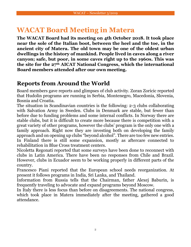#### **WACAT Board Meeting in Matera**

**The WACAT Board had its meeting on 4th October 2018. It took place near the sole of the Italian boot, between the heel and the toe, in the ancient city of Matera. The old town may be one of the oldest urban dwellings in the history of mankind. People lived in caves along a river canyon; safe, but poor, in some caves right up to the 1960s. This was the site for the 27th AICAT National Congress, which the international Board members attended after our own meeting.**

#### **Reports from Around the World**

Board members gave reports and glimpses of club activity. Zoran Zoricic reported that Hudolin programs are running in Serbia, Montenegro, Macedonia, Slovenia, Bosnia and Croatia.

The situation in Scandinavian countries is the following: 2-3 clubs collaborating with Salvation Army in Sweden. Clubs in Denmark are stable, but fewer than before due to funding problems and some internal conflicts. In Norway there are stable clubs, but it is difficult to create more because there is competition with a great variety of other programs, however the clubs' program is the only one with a family approach. Right now they are investing both on developing the family approach and on opening up clubs "beyond alcohol". There are too few new entries. In Finland there is still some expansion, mostly as aftercare connected to rehabilitation in Blue Cross treatment centers.

Nicoletta Regonati reported that some surveys have been done to reconnect with clubs in Latin America. There have been no responses from Chile and Brazil. However, clubs in Ecuador seem to be working properly in different parts of the country.

Francesco Piani reported that the European school needs reorganization. At present it follows programs in India, Sri Lanka, and Thailand.

Information from Russia tells that the Chairman, father Alexej Baburin, is frequently traveling to advocate and expand programs beyond Moscow.

In Italy there is less focus than before on disagreements. The national congress, which took place in Matera immediately after the meeting, gathered a good attendance.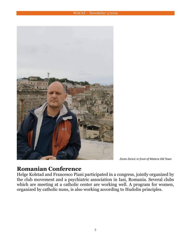#### WACAT – Newsletter 3/2019



*Zoran Zoricic in front of Matera Old Town*

#### **Romanian Conference**

Helge Kolstad and Francesco Piani participated in a congress, jointly organized by the club movement and a psychiatric association in Iasi, Romania. Several clubs which are meeting at a catholic center are working well. A program for women, organized by catholic nuns, is also working according to Hudolin principles.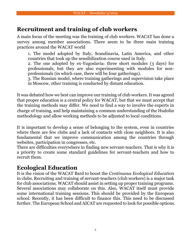#### **Recruitment and training of club workers**

A main focus of the meeting was the training of club workers. WACAT has done a survey among member associations. There seem to be three main training practices around the WACAT world

1. The model adopted by Italy, Scandinavia, Latin America, and other countries that took up the sensibilization course used in Italy.

2. The one adopted by ex-Yugoslavia: three short modules (3 days) for professionals, but they are also experimenting with modules for nonprofessionals (in which case, there will be four gatherings).

3. The Russian model, where training gatherings and supervision take place in Moscow, other training is conducted by distant education.

It was debated how we best can improve our training of club workers. It was agreed that proper education is a central policy for WACAT, but that we must accept that the training methods may differ. We need to find a way to involve the experts in charge of training, and help maintaining a common understanding of the Hudolin methodology and allow working methods to be adjusted to local conditions.

It is important to develop a sense of belonging to the system, even in countries where there are few clubs and a lack of contacts with close neighbors. It is also fundamental that we improve communication among the countries through websites, participation in congresses, etc.

There are difficulties everywhere in finding new servant-teachers. That is why it is a priority to create some standard guidelines for servant-teachers and how to recruit them.

#### **Ecological Education**

It is the vision of the WACAT Bard to boost the *Continuous Ecological Education* in clubs. Recruiting and training of servant-teachers (club workers) is a major task for club associations. WACAT should assist in setting up proper training programs. Several associations may collaborate on this. Also, WACAT itself must provide some international training sessions. This should be provided by the European school. Recently, it has been difficult to finance this. This need to be discussed further. The European School and AICAT are requested to look for possible options.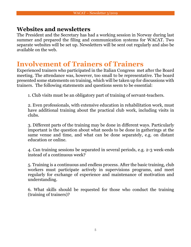#### **Websites and newsletters**

The President and the Secretary has had a working session in Norway during last summer and prepared the filing and communication systems for WACAT. Two separate websites will be set up. Newsletters will be sent out regularly and also be available on the web.

#### **Involvement of Trainers of Trainers**

Experienced trainers who participated in the Italian Congress met after the Board meeting. The attendance was, however, too small to be representative. The board presented some statements on training, which will be taken up for discussions with trainers. The following statements and questions seem to be essential:

1. Club visits must be an obligatory part of training of servant-teachers.

2. Even professionals, with extensive education in rehabilitation work, must have additional training about the practical club work, including visits in clubs.

3. Different parts of the training may be done in different ways. Particularly important is the question about what needs to be done in gatherings at the same venue and time, and what can be done separately, e.g. on distant education or online.

4. Can training sessions be separated in several periods, e.g. 2-3 week-ends instead of a continuous week?

5. Training is a continuous and endless process. After the basic training, club workers must participate actively in supervisions programs, and meet regularly for exchange of experience and maintenance of motivation and understanding.

6. What skills should be requested for those who conduct the training (training of trainers)?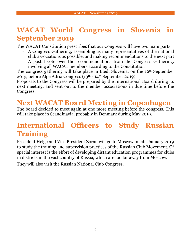### **WACAT World Congress in Slovenia in September 2019**

The WACAT Constitution prescribes that our Congress will have two main parts

- A Congress Gathering, assembling as many representatives of the national club associations as possible, and making recommendations to the next part
- A postal vote over the recommendations from the Congress Gathering, involving all WACAT members according to the Constitution

The congress gathering will take place in Bled, Slovenia, on the 12th September 2019, before Alpe Adria Congress (13th - 14th September 2019).

Proposals to the Congress will be prepared by the International Board during its next meeting, and sent out to the member associations in due time before the Congress,

#### **Next WACAT Board Meeting in Copenhagen**

The board decided to meet again at one more meeting before the congress. This will take place in Scandinavia, probably in Denmark during May 2019.

### **International Officers to Study Russian Training**

President Helge and Vice President Zoran will go to Moscow in late January 2019 to study the training and supervision practices of the Russian Club Movement. Of special interest is the effort of developing distant education programmes for clubs in districts in the vast country of Russia, which are too far away from Moscow.

They will also visit the Russian National Club Congress.